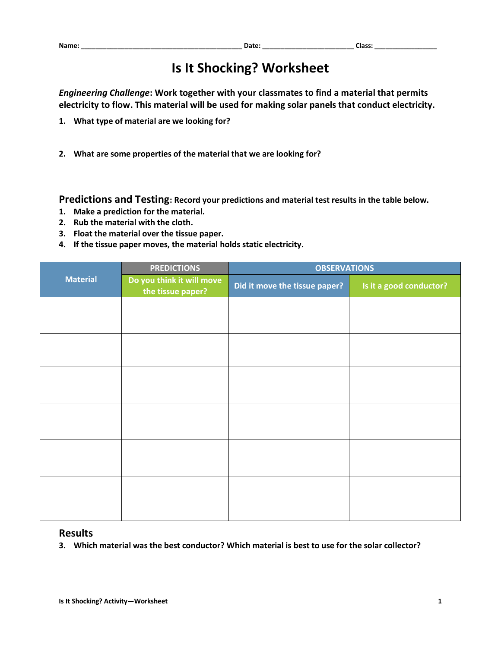## **Is It Shocking? Worksheet**

*Engineering Challenge***: Work together with your classmates to find a material that permits electricity to flow. This material will be used for making solar panels that conduct electricity.**

- **1. What type of material are we looking for?**
- **2. What are some properties of the material that we are looking for?**

**Predictions and Testing: Record your predictions and material test results in the table below.**

- **1. Make a prediction for the material.**
- **2. Rub the material with the cloth.**
- **3. Float the material over the tissue paper.**
- **4. If the tissue paper moves, the material holds static electricity.**

|                 | <b>PREDICTIONS</b>                             | <b>OBSERVATIONS</b>           |                         |
|-----------------|------------------------------------------------|-------------------------------|-------------------------|
| <b>Material</b> | Do you think it will move<br>the tissue paper? | Did it move the tissue paper? | Is it a good conductor? |
|                 |                                                |                               |                         |
|                 |                                                |                               |                         |
|                 |                                                |                               |                         |
|                 |                                                |                               |                         |
|                 |                                                |                               |                         |
|                 |                                                |                               |                         |
|                 |                                                |                               |                         |
|                 |                                                |                               |                         |
|                 |                                                |                               |                         |
|                 |                                                |                               |                         |
|                 |                                                |                               |                         |
|                 |                                                |                               |                         |
|                 |                                                |                               |                         |

## **Results**

**3. Which material was the best conductor? Which material is best to use for the solar collector?**